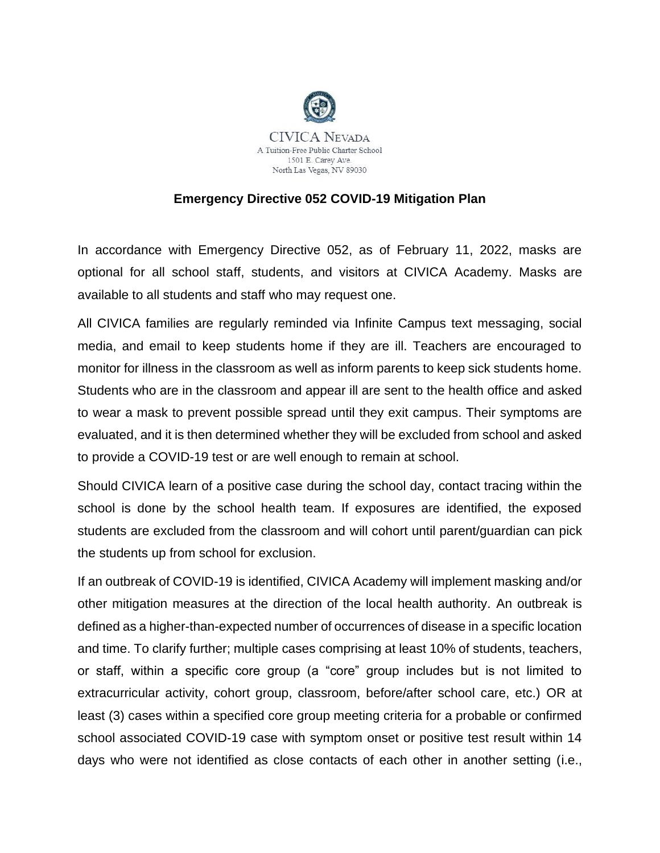

## **Emergency Directive 052 COVID-19 Mitigation Plan**

In accordance with Emergency Directive 052, as of February 11, 2022, masks are optional for all school staff, students, and visitors at CIVICA Academy. Masks are available to all students and staff who may request one.

All CIVICA families are regularly reminded via Infinite Campus text messaging, social media, and email to keep students home if they are ill. Teachers are encouraged to monitor for illness in the classroom as well as inform parents to keep sick students home. Students who are in the classroom and appear ill are sent to the health office and asked to wear a mask to prevent possible spread until they exit campus. Their symptoms are evaluated, and it is then determined whether they will be excluded from school and asked to provide a COVID-19 test or are well enough to remain at school.

Should CIVICA learn of a positive case during the school day, contact tracing within the school is done by the school health team. If exposures are identified, the exposed students are excluded from the classroom and will cohort until parent/guardian can pick the students up from school for exclusion.

If an outbreak of COVID-19 is identified, CIVICA Academy will implement masking and/or other mitigation measures at the direction of the local health authority. An outbreak is defined as a higher-than-expected number of occurrences of disease in a specific location and time. To clarify further; multiple cases comprising at least 10% of students, teachers, or staff, within a specific core group (a "core" group includes but is not limited to extracurricular activity, cohort group, classroom, before/after school care, etc.) OR at least (3) cases within a specified core group meeting criteria for a probable or confirmed school associated COVID-19 case with symptom onset or positive test result within 14 days who were not identified as close contacts of each other in another setting (i.e.,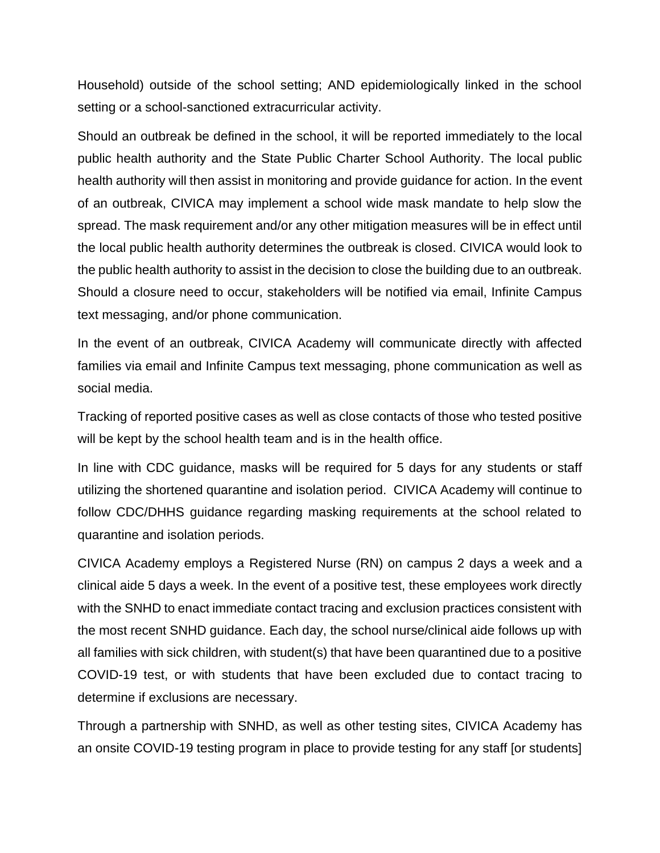Household) outside of the school setting; AND epidemiologically linked in the school setting or a school-sanctioned extracurricular activity.

Should an outbreak be defined in the school, it will be reported immediately to the local public health authority and the State Public Charter School Authority. The local public health authority will then assist in monitoring and provide guidance for action. In the event of an outbreak, CIVICA may implement a school wide mask mandate to help slow the spread. The mask requirement and/or any other mitigation measures will be in effect until the local public health authority determines the outbreak is closed. CIVICA would look to the public health authority to assist in the decision to close the building due to an outbreak. Should a closure need to occur, stakeholders will be notified via email, Infinite Campus text messaging, and/or phone communication.

In the event of an outbreak, CIVICA Academy will communicate directly with affected families via email and Infinite Campus text messaging, phone communication as well as social media.

Tracking of reported positive cases as well as close contacts of those who tested positive will be kept by the school health team and is in the health office.

In line with CDC guidance, masks will be required for 5 days for any students or staff utilizing the shortened quarantine and isolation period. CIVICA Academy will continue to follow CDC/DHHS guidance regarding masking requirements at the school related to quarantine and isolation periods.

CIVICA Academy employs a Registered Nurse (RN) on campus 2 days a week and a clinical aide 5 days a week. In the event of a positive test, these employees work directly with the SNHD to enact immediate contact tracing and exclusion practices consistent with the most recent SNHD guidance. Each day, the school nurse/clinical aide follows up with all families with sick children, with student(s) that have been quarantined due to a positive COVID-19 test, or with students that have been excluded due to contact tracing to determine if exclusions are necessary.

Through a partnership with SNHD, as well as other testing sites, CIVICA Academy has an onsite COVID-19 testing program in place to provide testing for any staff [or students]